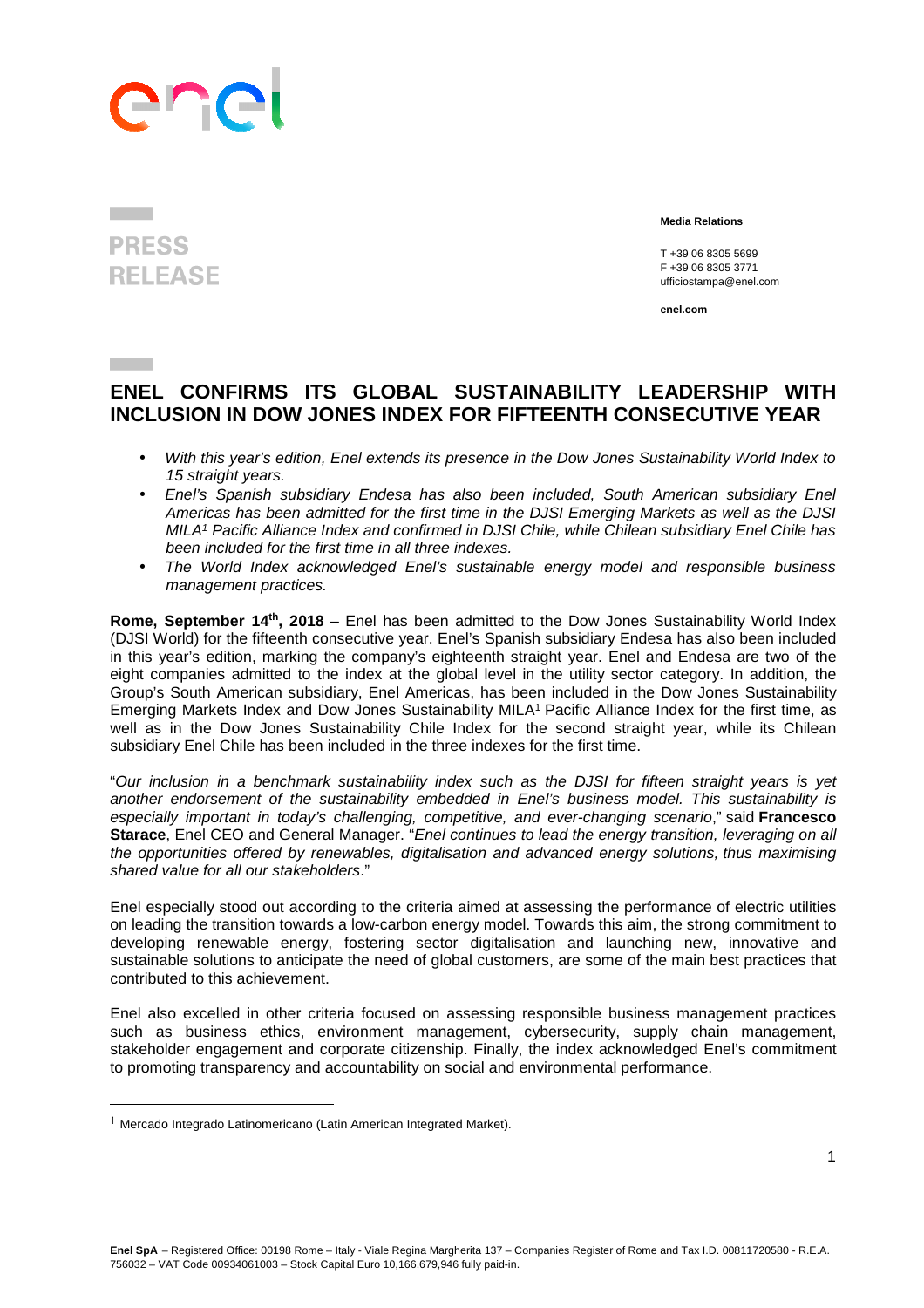## anp

## **PRESS RELEASE**

 **Media Relations** 

T +39 06 8305 5699 F +39 06 8305 3771 ufficiostampa@enel.com

**enel.com**

## **ENEL CONFIRMS ITS GLOBAL SUSTAINABILITY LEADERSHIP WITH INCLUSION IN DOW JONES INDEX FOR FIFTEENTH CONSECUTIVE YEAR**

- With this year's edition, Enel extends its presence in the Dow Jones Sustainability World Index to 15 straight years.
- Enel's Spanish subsidiary Endesa has also been included, South American subsidiary Enel Americas has been admitted for the first time in the DJSI Emerging Markets as well as the DJSI MILA<sup>1</sup> Pacific Alliance Index and confirmed in DJSI Chile, while Chilean subsidiary Enel Chile has been included for the first time in all three indexes.
- The World Index acknowledged Enel's sustainable energy model and responsible business management practices.

**Rome, September 14th, 2018** – Enel has been admitted to the Dow Jones Sustainability World Index (DJSI World) for the fifteenth consecutive year. Enel's Spanish subsidiary Endesa has also been included in this year's edition, marking the company's eighteenth straight year. Enel and Endesa are two of the eight companies admitted to the index at the global level in the utility sector category. In addition, the Group's South American subsidiary, Enel Americas, has been included in the Dow Jones Sustainability Emerging Markets Index and Dow Jones Sustainability MILA<sup>1</sup> Pacific Alliance Index for the first time, as well as in the Dow Jones Sustainability Chile Index for the second straight year, while its Chilean subsidiary Enel Chile has been included in the three indexes for the first time.

"Our inclusion in a benchmark sustainability index such as the DJSI for fifteen straight years is yet another endorsement of the sustainability embedded in Enel's business model. This sustainability is especially important in today's challenging, competitive, and ever-changing scenario," said **Francesco**  Starace, Enel CEO and General Manager. "Enel continues to lead the energy transition, leveraging on all the opportunities offered by renewables, digitalisation and advanced energy solutions, thus maximising shared value for all our stakeholders."

Enel especially stood out according to the criteria aimed at assessing the performance of electric utilities on leading the transition towards a low-carbon energy model. Towards this aim, the strong commitment to developing renewable energy, fostering sector digitalisation and launching new, innovative and sustainable solutions to anticipate the need of global customers, are some of the main best practices that contributed to this achievement.

Enel also excelled in other criteria focused on assessing responsible business management practices such as business ethics, environment management, cybersecurity, supply chain management, stakeholder engagement and corporate citizenship. Finally, the index acknowledged Enel's commitment to promoting transparency and accountability on social and environmental performance.

 $\overline{a}$ 

<sup>&</sup>lt;sup>1</sup> Mercado Integrado Latinomericano (Latin American Integrated Market).